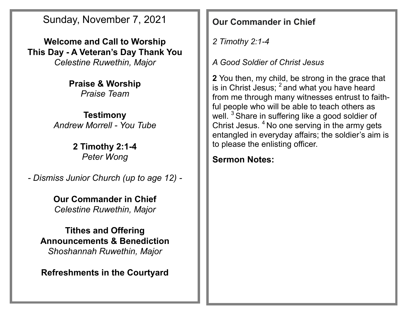Sunday, November 7, 2021

**Welcome and Call to Worship This Day - A Veteran's Day Thank You** *Celestine Ruwethin, Major*

> **Praise & Worship** *Praise Team*

**Testimony** *Andrew Morrell - You Tube*

> **2 Timothy 2:1-4** *Peter Wong*

*- Dismiss Junior Church (up to age 12) -*

**Our Commander in Chief** *Celestine Ruwethin, Major*

**Tithes and Offering Announcements & Benediction** *Shoshannah Ruwethin, Major*

**Refreshments in the Courtyard**

**Our Commander in Chief**

*2 Timothy 2:1-4* 

*A Good Soldier of Christ Jesus*

**2** You then, my child, be strong in the grace that is in Christ Jesus;  $^2$  and what you have heard from me through many witnesses entrust to faithful people who will be able to teach others as well. <sup>3</sup> Share in suffering like a good soldier of Christ Jesus. <sup>4</sup> No one serving in the army gets entangled in everyday affairs; the soldier's aim is to please the enlisting officer.

**Sermon Notes:**